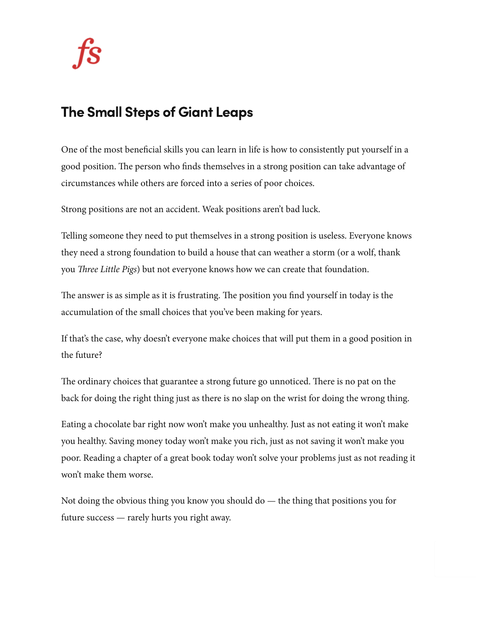## The Small Steps of Giant Leaps

One of the most beneficial skills you can learn in life is how to consistently put yourself in a good position. The person who finds themselves in a strong position can take advantage of circumstances while others are forced into a series of poor choices.

Strong positions are not an accident. Weak positions aren't bad luck.

Telling someone they need to put themselves in a strong position is useless. Everyone knows they need a strong foundation to build a house that can weather a storm (or a wolf, thank you *Three Little Pigs*) but not everyone knows how we can create that foundation.

The answer is as simple as it is frustrating. The position you find yourself in today is the accumulation of the small choices that you've been making for years.

If that's the case, why doesn't everyone make choices that will put them in a good position in the future?

The ordinary choices that guarantee a strong future go unnoticed. There is no pat on the back for doing the right thing just as there is no slap on the wrist for doing the wrong thing.

Eating a chocolate bar right now won't make you unhealthy. Just as not eating it won't make you healthy. Saving money today won't make you rich, just as not saving it won't make you poor. Reading a chapter of a great book today won't solve your problems just as not reading it won't make them worse.

Not doing the obvious thing you know you should  $d\sigma$  — the thing that positions you for future success — rarely hurts you right away.